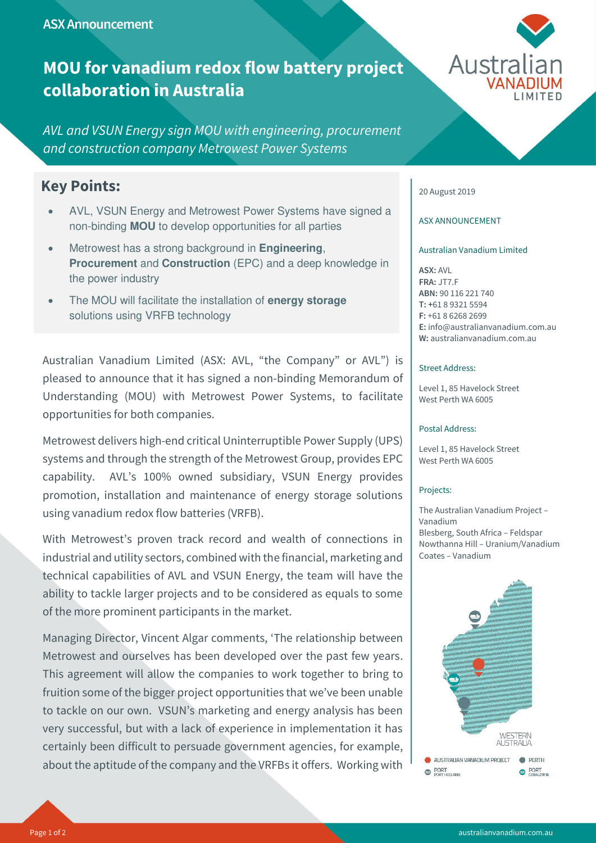**ASX Announcement**

# **MOU for vanadium redox flow battery project collaboration in Australia**

*AVL and VSUN Energy sign MOU with engineering, procurement and construction company Metrowest Power Systems*

# **Key Points:**

- AVL, VSUN Energy and Metrowest Power Systems have signed a non-binding **MOU** to develop opportunities for all parties
- Metrowest has a strong background in **Engineering**, **Procurement** and **Construction** (EPC) and a deep knowledge in the power industry
- The MOU will facilitate the installation of **energy storage** solutions using VRFB technology

Australian Vanadium Limited (ASX: AVL, "the Company" or AVL") is pleased to announce that it has signed a non-binding Memorandum of Understanding (MOU) with Metrowest Power Systems, to facilitate opportunities for both companies.

Metrowest delivers high-end critical Uninterruptible Power Supply (UPS) systems and through the strength of the Metrowest Group, provides EPC capability. AVL's 100% owned subsidiary, VSUN Energy provides promotion, installation and maintenance of energy storage solutions using vanadium redox flow batteries (VRFB).

With Metrowest's proven track record and wealth of connections in industrial and utility sectors, combined with the financial, marketing and technical capabilities of AVL and VSUN Energy, the team will have the ability to tackle larger projects and to be considered as equals to some of the more prominent participants in the market.

Managing Director, Vincent Algar comments, 'The relationship between Metrowest and ourselves has been developed over the past few years. This agreement will allow the companies to work together to bring to fruition some of the bigger project opportunities that we've been unable to tackle on our own. VSUN's marketing and energy analysis has been very successful, but with a lack of experience in implementation it has certainly been difficult to persuade government agencies, for example, about the aptitude of the company and the VRFBs it offers. Working with



# 20 August 2019

# ASX ANNOUNCEMENT

# Australian Vanadium Limited

**ASX:** AVL **FRA:** JT7.F **ABN:** 90 116 221 740 **T: +**61 8 9321 5594 **F:** +61 8 6268 2699 **E:** info@australianvanadium.com.au **W:** australianvanadium.com.au

# Street Address:

Level 1, 85 Havelock Street West Perth WA 6005

#### Postal Address:

Level 1, 85 Havelock Street West Perth WA 6005

#### Projects:

The Australian Vanadium Project – Vanadium Blesberg, South Africa – Feldspar Nowthanna Hill – Uranium/Vanadium Coates – Vanadium